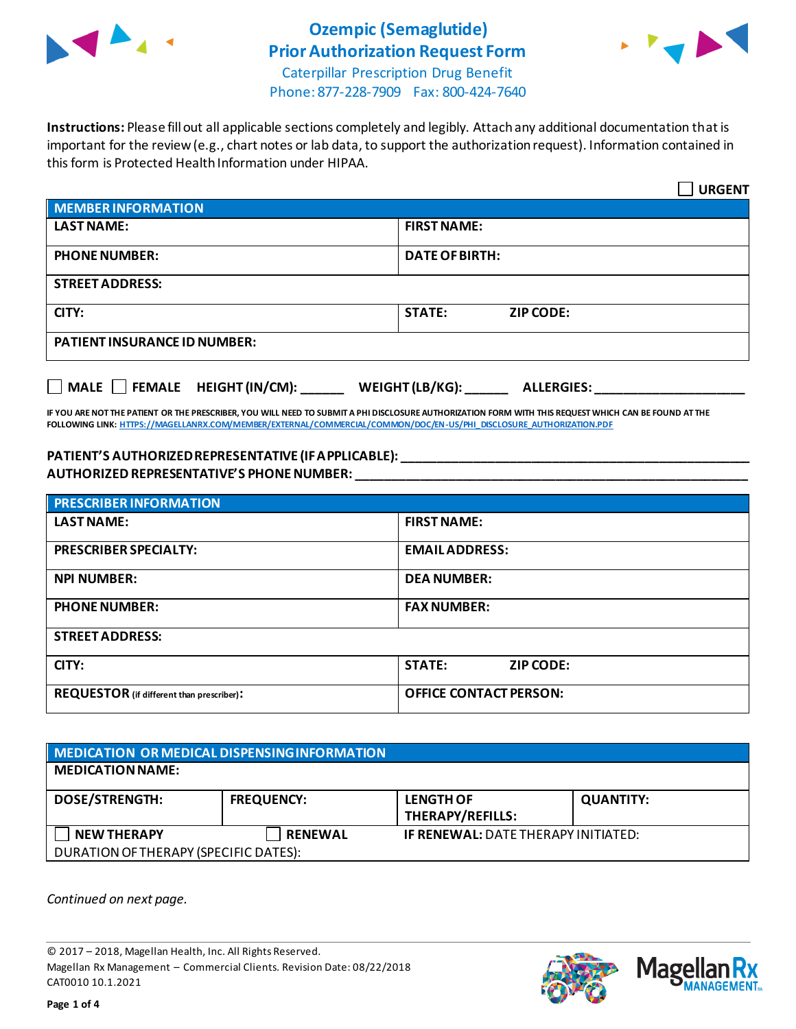

# **Ozempic (Semaglutide) Prior Authorization Request Form**



Caterpillar Prescription Drug Benefit Phone: 877-228-7909 Fax: 800-424-7640

**Instructions:** Please fill out all applicable sections completely and legibly. Attach any additional documentation that is important for the review (e.g., chart notes or lab data, to support the authorization request). Information contained in this form is Protected Health Information under HIPAA.

|                                           | <b>URGENT</b>                        |
|-------------------------------------------|--------------------------------------|
| <b>MEMBER INFORMATION</b>                 |                                      |
| <b>LAST NAME:</b>                         | <b>FIRST NAME:</b>                   |
| <b>PHONE NUMBER:</b>                      | <b>DATE OF BIRTH:</b>                |
| <b>STREET ADDRESS:</b>                    |                                      |
| CITY:                                     | <b>STATE:</b><br><b>ZIP CODE:</b>    |
| <b>PATIENT INSURANCE ID NUMBER:</b>       |                                      |
| $\Box$ MALE $\Box$ FEMALE HEIGHT (IN/CM): | WEIGHT (LB/KG):<br><b>ALLERGIES:</b> |

**IF YOU ARE NOT THE PATIENT OR THE PRESCRIBER, YOU WILL NEED TO SUBMIT A PHI DISCLOSURE AUTHORIZATION FORM WITH THIS REQUEST WHICH CAN BE FOUND AT THE FOLLOWING LINK[: HTTPS://MAGELLANRX.COM/MEMBER/EXTERNAL/COMMERCIAL/COMMON/DOC/EN-US/PHI\\_DISCLOSURE\\_AUTHORIZATION.PDF](https://magellanrx.com/member/external/commercial/common/doc/en-us/PHI_Disclosure_Authorization.pdf)**

#### **PATIENT'S AUTHORIZED REPRESENTATIVE (IF APPLICABLE): \_\_\_\_\_\_\_\_\_\_\_\_\_\_\_\_\_\_\_\_\_\_\_\_\_\_\_\_\_\_\_\_\_\_\_\_\_\_\_\_\_\_\_\_\_\_\_\_\_ AUTHORIZED REPRESENTATIVE'S PHONE NUMBER: \_\_\_\_\_\_\_\_\_\_\_\_\_\_\_\_\_\_\_\_\_\_\_\_\_\_\_\_\_\_\_\_\_\_\_\_\_\_\_\_\_\_\_\_\_\_\_\_\_\_\_\_\_\_\_**

| <b>PRESCRIBER INFORMATION</b>             |                                   |
|-------------------------------------------|-----------------------------------|
| <b>LAST NAME:</b>                         | <b>FIRST NAME:</b>                |
| <b>PRESCRIBER SPECIALTY:</b>              | <b>EMAIL ADDRESS:</b>             |
| <b>NPI NUMBER:</b>                        | <b>DEA NUMBER:</b>                |
| <b>PHONE NUMBER:</b>                      | <b>FAX NUMBER:</b>                |
| <b>STREET ADDRESS:</b>                    |                                   |
| CITY:                                     | <b>STATE:</b><br><b>ZIP CODE:</b> |
| REQUESTOR (if different than prescriber): | <b>OFFICE CONTACT PERSON:</b>     |

| MEDICATION OR MEDICAL DISPENSING INFORMATION |                   |                                            |                  |
|----------------------------------------------|-------------------|--------------------------------------------|------------------|
| <b>MEDICATION NAME:</b>                      |                   |                                            |                  |
| <b>DOSE/STRENGTH:</b>                        | <b>FREQUENCY:</b> | <b>LENGTH OF</b><br>THERAPY/REFILLS:       | <b>QUANTITY:</b> |
| <b>NEW THERAPY</b>                           | <b>RENEWAL</b>    | <b>IF RENEWAL: DATE THERAPY INITIATED:</b> |                  |
| DURATION OF THERAPY (SPECIFIC DATES):        |                   |                                            |                  |

*Continued on next page.*

© 2017 – 2018, Magellan Health, Inc. All Rights Reserved. Magellan Rx Management – Commercial Clients. Revision Date: 08/22/2018 CAT0010 10.1.2021



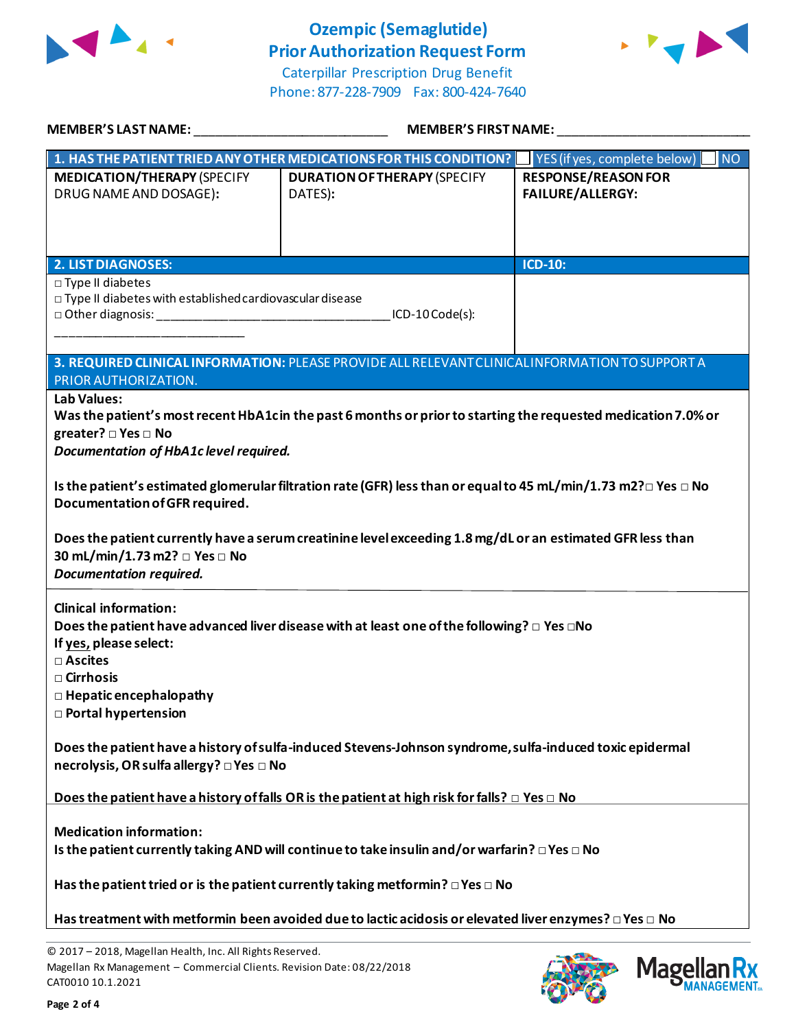

## **Ozempic (Semaglutide) Prior Authorization Request Form**





| <b>MEMBER'S LAST NAME:</b>                                                                                                                          |                                                                                                                           | <b>MEMBER'S FIRST NAME:</b>                           |
|-----------------------------------------------------------------------------------------------------------------------------------------------------|---------------------------------------------------------------------------------------------------------------------------|-------------------------------------------------------|
|                                                                                                                                                     | 1. HAS THE PATIENT TRIED ANY OTHER MEDICATIONS FOR THIS CONDITION?                                                        | YES (if yes, complete below)<br><b>NO</b>             |
| <b>MEDICATION/THERAPY (SPECIFY</b><br>DRUG NAME AND DOSAGE):                                                                                        | <b>DURATION OF THERAPY (SPECIFY</b><br>DATES):                                                                            | <b>RESPONSE/REASON FOR</b><br><b>FAILURE/ALLERGY:</b> |
| <b>2. LIST DIAGNOSES:</b>                                                                                                                           |                                                                                                                           | <b>ICD-10:</b>                                        |
| $\square$ Type II diabetes<br>$\Box$ Type II diabetes with established cardiovascular disease                                                       | ICD-10 Code(s):                                                                                                           |                                                       |
| PRIOR AUTHORIZATION.                                                                                                                                | 3. REQUIRED CLINICAL INFORMATION: PLEASE PROVIDE ALL RELEVANT CLINICAL INFORMATION TO SUPPORT A                           |                                                       |
| Lab Values:<br>greater? □ Yes □ No<br>Documentation of HbA1c level required.                                                                        | Was the patient's most recent HbA1cin the past 6 months or prior to starting the requested medication 7.0% or             |                                                       |
| Documentation of GFR required.                                                                                                                      | Is the patient's estimated glomerular filtration rate (GFR) less than or equal to 45 mL/min/1.73 m2? $\Box$ Yes $\Box$ No |                                                       |
| 30 mL/min/1.73 m2? □ Yes □ No<br><b>Documentation required.</b>                                                                                     | Does the patient currently have a serum creatinine level exceeding 1.8 mg/dL or an estimated GFR less than                |                                                       |
| <b>Clinical information:</b><br>If yes, please select:<br>□ Ascites<br>□ Cirrhosis<br>$\Box$ Hepatic encephalopathy<br><b>D</b> Portal hypertension | Does the patient have advanced liver disease with at least one of the following? $\Box$ Yes $\Box$ No                     |                                                       |
| necrolysis, OR sulfa allergy? □ Yes □ No                                                                                                            | Does the patient have a history of sulfa-induced Stevens-Johnson syndrome, sulfa-induced toxic epidermal                  |                                                       |
|                                                                                                                                                     | Does the patient have a history of falls OR is the patient at high risk for falls? $\Box$ Yes $\Box$ No                   |                                                       |
| <b>Medication information:</b>                                                                                                                      | Is the patient currently taking AND will continue to take insulin and/or warfarin? $\Box$ Yes $\Box$ No                   |                                                       |
|                                                                                                                                                     | Has the patient tried or is the patient currently taking metformin? $\square$ Yes $\square$ No                            |                                                       |
|                                                                                                                                                     | Has treatment with metformin been avoided due to lactic acidosis or elevated liver enzymes? $\Box$ Yes $\Box$ No          |                                                       |

© 2017 – 2018, Magellan Health, Inc. All Rights Reserved. Magellan Rx Management – Commercial Clients. Revision Date: 08/22/2018 CAT0010 10.1.2021



**Magellar** 

**Ilan Rx<br>IANAGEMENT**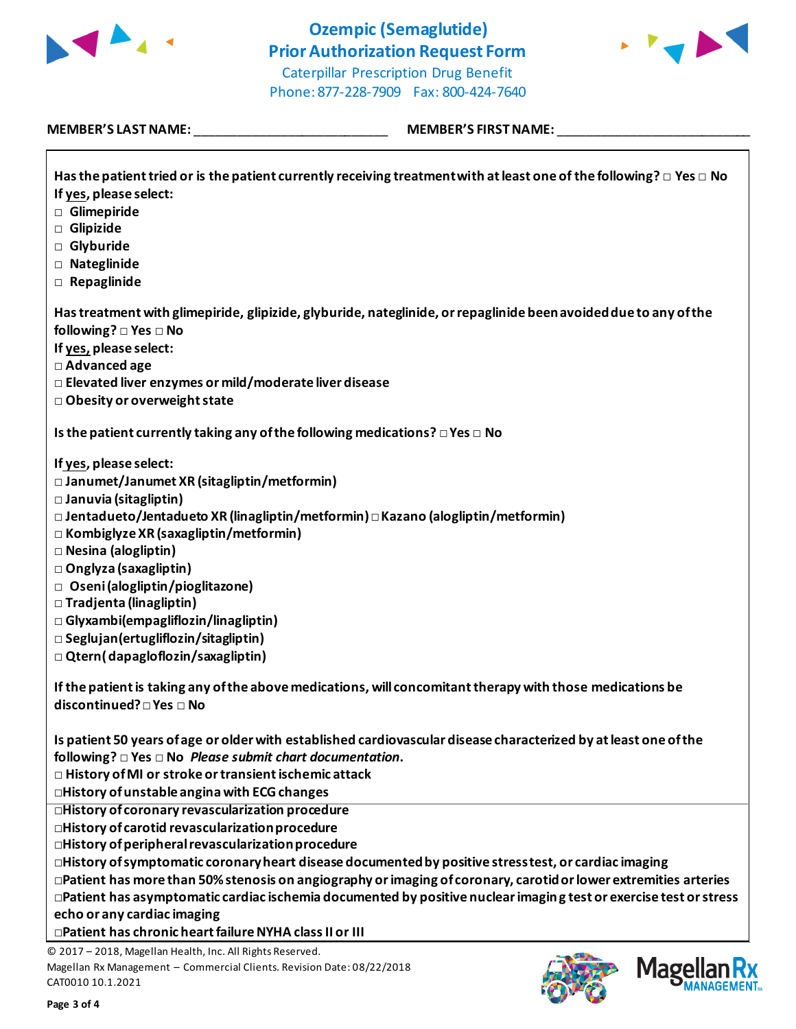



Phone: 877-228-7909 Fax: 800-424-7640

### **MEMBER'S LAST NAME:** \_\_\_\_\_\_\_\_\_\_\_\_\_\_\_\_\_\_\_\_\_\_\_\_\_\_\_ **MEMBER'S FIRST NAME:** \_\_\_\_\_\_\_\_\_\_\_\_\_\_\_\_\_\_\_\_\_\_\_\_\_\_\_

Г

| Has treatment with glimepiride, glipizide, glyburide, nateglinide, or repaglinide been avoided due to any of the<br>following? □ Yes □ No<br>If yes, please select:<br>□ Advanced age<br>□ Elevated liver enzymes or mild/moderate liver disease<br>□ Obesity or overweight state<br>Is the patient currently taking any of the following medications? $\square$ Yes $\square$ No<br>If yes, please select:<br>$\square$ Janumet/Janumet XR (sitagliptin/metformin)<br>□ Januvia (sitagliptin)<br>□ Jentadueto/Jentadueto XR (linagliptin/metformin) □ Kazano (alogliptin/metformin)<br>$\Box$ Kombiglyze XR (saxagliptin/metformin)<br>□ Nesina (alogliptin)<br>□ Onglyza (saxagliptin)<br>□ Oseni (alogliptin/pioglitazone) |
|-------------------------------------------------------------------------------------------------------------------------------------------------------------------------------------------------------------------------------------------------------------------------------------------------------------------------------------------------------------------------------------------------------------------------------------------------------------------------------------------------------------------------------------------------------------------------------------------------------------------------------------------------------------------------------------------------------------------------------|
|                                                                                                                                                                                                                                                                                                                                                                                                                                                                                                                                                                                                                                                                                                                               |
|                                                                                                                                                                                                                                                                                                                                                                                                                                                                                                                                                                                                                                                                                                                               |
|                                                                                                                                                                                                                                                                                                                                                                                                                                                                                                                                                                                                                                                                                                                               |
| □ Tradjenta (linagliptin)<br>$\Box$ Glyxambi(empagliflozin/linagliptin)<br>□ Seglujan (ertugliflozin/sitagliptin)<br>$\Box$ Qtern(dapagloflozin/saxagliptin)<br>If the patient is taking any of the above medications, will concomitant therapy with those medications be<br>discontinued? □ Yes □ No                                                                                                                                                                                                                                                                                                                                                                                                                         |
| Is patient 50 years of age or older with established cardiovascular disease characterized by at least one of the<br>following? $\square$ Yes $\square$ No Please submit chart documentation.<br>$\Box$ History of MI or stroke or transient ischemic attack<br>□History of unstable angina with ECG changes                                                                                                                                                                                                                                                                                                                                                                                                                   |
| <b>Industry of coronary revascularization procedure</b><br>□History of carotid revascularization procedure                                                                                                                                                                                                                                                                                                                                                                                                                                                                                                                                                                                                                    |
| $\square$ History of peripheral revascularization procedure                                                                                                                                                                                                                                                                                                                                                                                                                                                                                                                                                                                                                                                                   |
| $\square$ History of symptomatic coronary heart disease documented by positive stress test, or cardiac imaging                                                                                                                                                                                                                                                                                                                                                                                                                                                                                                                                                                                                                |
| □Patient has more than 50% stenosis on angiography or imaging of coronary, carotid or lower extremities arteries                                                                                                                                                                                                                                                                                                                                                                                                                                                                                                                                                                                                              |
| $\Box$ Patient has asymptomatic cardiac ischemia documented by positive nuclear imaging test or exercise test or stress                                                                                                                                                                                                                                                                                                                                                                                                                                                                                                                                                                                                       |
| echo or any cardiac imaging                                                                                                                                                                                                                                                                                                                                                                                                                                                                                                                                                                                                                                                                                                   |
| □Patient has chronic heart failure NYHA class II or III<br>© 2017 - 2018, Magellan Health, Inc. All Rights Reserved.                                                                                                                                                                                                                                                                                                                                                                                                                                                                                                                                                                                                          |

Magellan Rx Management – Commercial Clients. Revision Date: 08/22/2018 CAT0010 10.1.2021